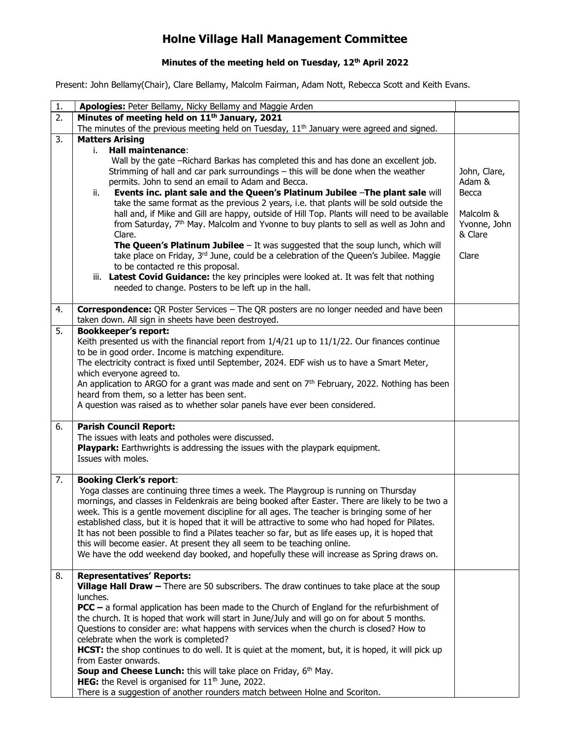## Holne Village Hall Management Committee

## Minutes of the meeting held on Tuesday, 12<sup>th</sup> April 2022

Present: John Bellamy(Chair), Clare Bellamy, Malcolm Fairman, Adam Nott, Rebecca Scott and Keith Evans.

| 1. | Apologies: Peter Bellamy, Nicky Bellamy and Maggie Arden                                                                                                                                                                                                                                                                                                                                                                                                                                                                                                                                                                                                                                                                                                                                                                                         |                                               |
|----|--------------------------------------------------------------------------------------------------------------------------------------------------------------------------------------------------------------------------------------------------------------------------------------------------------------------------------------------------------------------------------------------------------------------------------------------------------------------------------------------------------------------------------------------------------------------------------------------------------------------------------------------------------------------------------------------------------------------------------------------------------------------------------------------------------------------------------------------------|-----------------------------------------------|
| 2. | Minutes of meeting held on 11 <sup>th</sup> January, 2021                                                                                                                                                                                                                                                                                                                                                                                                                                                                                                                                                                                                                                                                                                                                                                                        |                                               |
|    | The minutes of the previous meeting held on Tuesday, $11th$ January were agreed and signed.                                                                                                                                                                                                                                                                                                                                                                                                                                                                                                                                                                                                                                                                                                                                                      |                                               |
| 3. | <b>Matters Arising</b><br>i.<br><b>Hall maintenance:</b><br>Wall by the gate -Richard Barkas has completed this and has done an excellent job.<br>Strimming of hall and car park surroundings - this will be done when the weather<br>permits. John to send an email to Adam and Becca.<br>Events inc. plant sale and the Queen's Platinum Jubilee -The plant sale will<br>ii.                                                                                                                                                                                                                                                                                                                                                                                                                                                                   | John, Clare,<br>Adam &<br>Becca               |
|    | take the same format as the previous 2 years, i.e. that plants will be sold outside the<br>hall and, if Mike and Gill are happy, outside of Hill Top. Plants will need to be available<br>from Saturday, 7 <sup>th</sup> May. Malcolm and Yvonne to buy plants to sell as well as John and<br>Clare.<br><b>The Queen's Platinum Jubilee</b> $-$ It was suggested that the soup lunch, which will<br>take place on Friday, 3rd June, could be a celebration of the Queen's Jubilee. Maggie<br>to be contacted re this proposal.<br>iii. Latest Covid Guidance: the key principles were looked at. It was felt that nothing<br>needed to change. Posters to be left up in the hall.                                                                                                                                                                | Malcolm &<br>Yvonne, John<br>& Clare<br>Clare |
| 4. | Correspondence: QR Poster Services - The QR posters are no longer needed and have been                                                                                                                                                                                                                                                                                                                                                                                                                                                                                                                                                                                                                                                                                                                                                           |                                               |
|    | taken down. All sign in sheets have been destroyed.                                                                                                                                                                                                                                                                                                                                                                                                                                                                                                                                                                                                                                                                                                                                                                                              |                                               |
| 5. | <b>Bookkeeper's report:</b><br>Keith presented us with the financial report from 1/4/21 up to 11/1/22. Our finances continue<br>to be in good order. Income is matching expenditure.<br>The electricity contract is fixed until September, 2024. EDF wish us to have a Smart Meter,<br>which everyone agreed to.<br>An application to ARGO for a grant was made and sent on 7 <sup>th</sup> February, 2022. Nothing has been<br>heard from them, so a letter has been sent.<br>A question was raised as to whether solar panels have ever been considered.                                                                                                                                                                                                                                                                                       |                                               |
| 6. | <b>Parish Council Report:</b><br>The issues with leats and potholes were discussed.<br>Playpark: Earthwrights is addressing the issues with the playpark equipment.<br>Issues with moles.                                                                                                                                                                                                                                                                                                                                                                                                                                                                                                                                                                                                                                                        |                                               |
| 7. | <b>Booking Clerk's report:</b><br>Yoga classes are continuing three times a week. The Playgroup is running on Thursday<br>mornings, and classes in Feldenkrais are being booked after Easter. There are likely to be two a<br>week. This is a gentle movement discipline for all ages. The teacher is bringing some of her<br>established class, but it is hoped that it will be attractive to some who had hoped for Pilates.<br>It has not been possible to find a Pilates teacher so far, but as life eases up, it is hoped that<br>this will become easier. At present they all seem to be teaching online.<br>We have the odd weekend day booked, and hopefully these will increase as Spring draws on.                                                                                                                                     |                                               |
| 8. | <b>Representatives' Reports:</b><br>Village Hall Draw - There are 50 subscribers. The draw continues to take place at the soup<br>lunches.<br>$PCC - a$ formal application has been made to the Church of England for the refurbishment of<br>the church. It is hoped that work will start in June/July and will go on for about 5 months.<br>Questions to consider are: what happens with services when the church is closed? How to<br>celebrate when the work is completed?<br>HCST: the shop continues to do well. It is quiet at the moment, but, it is hoped, it will pick up<br>from Easter onwards.<br><b>Soup and Cheese Lunch:</b> this will take place on Friday, 6 <sup>th</sup> May.<br>HEG: the Revel is organised for 11 <sup>th</sup> June, 2022.<br>There is a suggestion of another rounders match between Holne and Scoriton. |                                               |